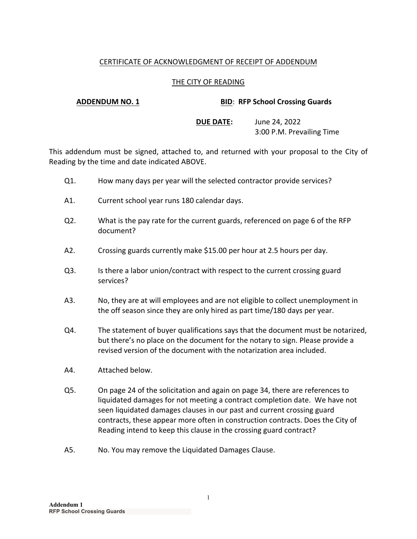# CERTIFICATE OF ACKNOWLEDGMENT OF RECEIPT OF ADDENDUM

## THE CITY OF READING

### **ADDENDUM NO. 1 BID**: **RFP School Crossing Guards**

**DUE DATE:** June 24, 2022 3:00 P.M. Prevailing Time

This addendum must be signed, attached to, and returned with your proposal to the City of Reading by the time and date indicated ABOVE.

- Q1. How many days per year will the selected contractor provide services?
- A1. Current school year runs 180 calendar days.
- Q2. What is the pay rate for the current guards, referenced on page 6 of the RFP document?
- A2. Crossing guards currently make \$15.00 per hour at 2.5 hours per day.
- Q3. Is there a labor union/contract with respect to the current crossing guard services?
- A3. No, they are at will employees and are not eligible to collect unemployment in the off season since they are only hired as part time/180 days per year.
- Q4. The statement of buyer qualifications says that the document must be notarized, but there's no place on the document for the notary to sign. Please provide a revised version of the document with the notarization area included.
- A4. Attached below.
- Q5. On page 24 of the solicitation and again on page 34, there are references to liquidated damages for not meeting a contract completion date. We have not seen liquidated damages clauses in our past and current crossing guard contracts, these appear more often in construction contracts. Does the City of Reading intend to keep this clause in the crossing guard contract?
- A5. No. You may remove the Liquidated Damages Clause.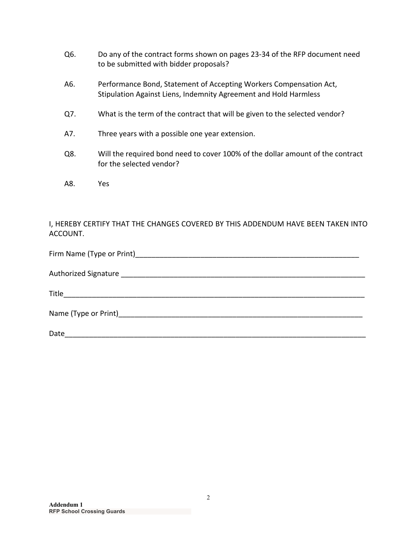- Q6. Do any of the contract forms shown on pages 23-34 of the RFP document need to be submitted with bidder proposals?
- A6. Performance Bond, Statement of Accepting Workers Compensation Act, Stipulation Against Liens, Indemnity Agreement and Hold Harmless
- Q7. What is the term of the contract that will be given to the selected vendor?
- A7. Three years with a possible one year extension.
- Q8. Will the required bond need to cover 100% of the dollar amount of the contract for the selected vendor?
- A8. Yes

# I, HEREBY CERTIFY THAT THE CHANGES COVERED BY THIS ADDENDUM HAVE BEEN TAKEN INTO ACCOUNT.

| Firm Name (Type or Print) and the state of the state of the state of the state of the state of the state of the state of the state of the state of the state of the state of the state of the state of the state of the state |
|-------------------------------------------------------------------------------------------------------------------------------------------------------------------------------------------------------------------------------|
| <b>Authorized Signature</b>                                                                                                                                                                                                   |
| Title                                                                                                                                                                                                                         |
| Name (Type or Print)___________________                                                                                                                                                                                       |

Date\_\_\_\_\_\_\_\_\_\_\_\_\_\_\_\_\_\_\_\_\_\_\_\_\_\_\_\_\_\_\_\_\_\_\_\_\_\_\_\_\_\_\_\_\_\_\_\_\_\_\_\_\_\_\_\_\_\_\_\_\_\_\_\_\_\_\_\_\_\_\_\_\_\_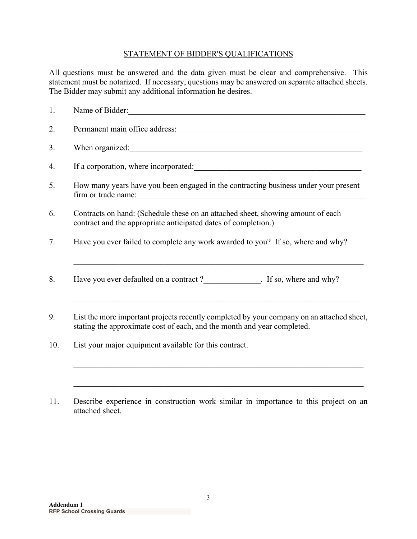# STATEMENT OF BIDDER'S QUALIFICATIONS

All questions must be answered and the data given must be clear and comprehensive. This statement must be notarized. If necessary, questions may be answered on separate attached sheets. The Bidder may submit any additional information he desires.

| 1. | Name of Bidder:                                                                                                                                                                                                                                                                                                       |  |  |  |  |
|----|-----------------------------------------------------------------------------------------------------------------------------------------------------------------------------------------------------------------------------------------------------------------------------------------------------------------------|--|--|--|--|
| 2. | Permanent main office address:                                                                                                                                                                                                                                                                                        |  |  |  |  |
| 3. | When organized:                                                                                                                                                                                                                                                                                                       |  |  |  |  |
| 4. |                                                                                                                                                                                                                                                                                                                       |  |  |  |  |
| 5. | How many years have you been engaged in the contracting business under your present<br>firm or trade name: 1000 million and the material contract of the material contract of the material contract of the material contract of the material contract of the material contract of the material contract of the materi |  |  |  |  |
| 6. | Contracts on hand: (Schedule these on an attached sheet, showing amount of each<br>contract and the appropriate anticipated dates of completion.)                                                                                                                                                                     |  |  |  |  |
| 7. | Have you ever failed to complete any work awarded to you? If so, where and why?                                                                                                                                                                                                                                       |  |  |  |  |
| 8. | Have you ever defaulted on a contract?<br>F so, where and why?                                                                                                                                                                                                                                                        |  |  |  |  |
| 9. | List the more important projects recently completed by your company on an attached sheet,<br>stating the approximate cost of each, and the month and year completed.                                                                                                                                                  |  |  |  |  |

- 10. List your major equipment available for this contract.
- 11. Describe experience in construction work similar in importance to this project on an attached sheet.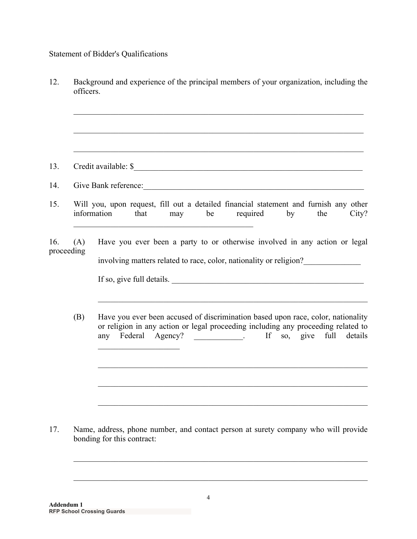# Statement of Bidder's Qualifications

- 12. Background and experience of the principal members of your organization, including the officers. 13. Credit available: \$\_\_\_\_\_\_\_\_\_\_\_\_\_\_\_\_\_\_\_\_\_\_\_\_\_\_\_\_\_\_\_\_\_\_\_\_\_\_\_\_\_\_\_\_\_\_\_\_\_\_\_\_\_\_\_\_ 14. Give Bank reference: 15. Will you, upon request, fill out a detailed financial statement and furnish any other information that may be required by the City? 16. (A) Have you ever been a party to or otherwise involved in any action or legal proceeding involving matters related to race, color, nationality or religion?\_\_\_\_\_\_\_\_\_\_\_\_\_\_ If so, give full details. (B) Have you ever been accused of discrimination based upon race, color, nationality or religion in any action or legal proceeding including any proceeding related to any Federal Agency? \_\_\_\_\_\_\_\_\_\_\_. If so, give full details 17. Name, address, phone number, and contact person at surety company who will provide
- bonding for this contract: